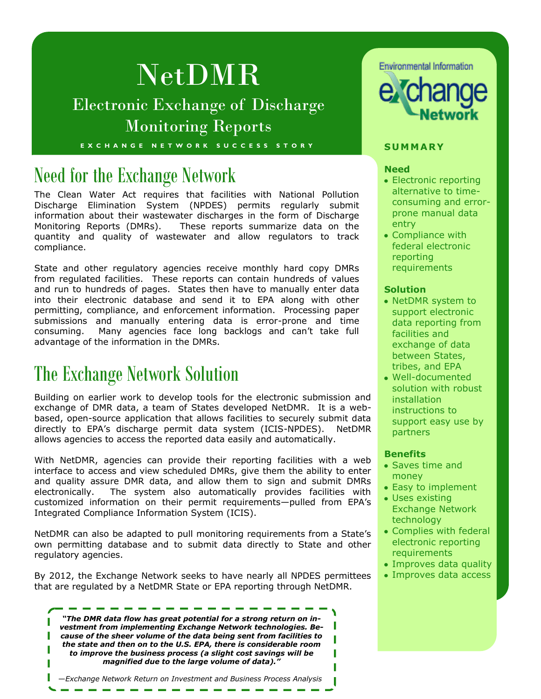# NetDMR

### Electronic Exchange of Discharge Monitoring Reports

**E X C H A N G E N E T W O R K S U C C E S S S T O R Y S UMM A R Y**

## Need for the Exchange Network

The Clean Water Act requires that facilities with National Pollution Discharge Elimination System (NPDES) permits regularly submit information about their wastewater discharges in the form of Discharge Monitoring Reports (DMRs). These reports summarize data on the quantity and quality of wastewater and allow regulators to track compliance.

State and other regulatory agencies receive monthly hard copy DMRs from regulated facilities. These reports can contain hundreds of values and run to hundreds of pages. States then have to manually enter data into their electronic database and send it to EPA along with other permitting, compliance, and enforcement information. Processing paper submissions and manually entering data is error-prone and time consuming. Many agencies face long backlogs and can't take full advantage of the information in the DMRs.

### The Exchange Network Solution

Building on earlier work to develop tools for the electronic submission and exchange of DMR data, a team of States developed NetDMR. It is a webbased, open-source application that allows facilities to securely submit data directly to EPA's discharge permit data system (ICIS-NPDES). NetDMR allows agencies to access the reported data easily and automatically.

With NetDMR, agencies can provide their reporting facilities with a web interface to access and view scheduled DMRs, give them the ability to enter and quality assure DMR data, and allow them to sign and submit DMRs electronically. The system also automatically provides facilities with customized information on their permit requirements—pulled from EPA's Integrated Compliance Information System (ICIS).

NetDMR can also be adapted to pull monitoring requirements from a State's own permitting database and to submit data directly to State and other regulatory agencies.

By 2012, the Exchange Network seeks to have nearly all NPDES permittees that are regulated by a NetDMR State or EPA reporting through NetDMR.

*"The DMR data flow has great potential for a strong return on investment from implementing Exchange Network technologies. Because of the sheer volume of the data being sent from facilities to the state and then on to the U.S. EPA, there is considerable room to improve the business process (a slight cost savings will be magnified due to the large volume of data)."*

—*Exchange Network Return on Investment and Business Process Analysis*





#### **Need**

- Electronic reporting alternative to timeconsuming and errorprone manual data entry
- Compliance with federal electronic reporting requirements

### **Solution**

- NetDMR system to support electronic data reporting from facilities and exchange of data between States, tribes, and EPA
- Well-documented solution with robust installation instructions to support easy use by partners

#### **Benefits**

- Saves time and money
- Easy to implement
- Uses existing Exchange Network technology
- Complies with federal electronic reporting requirements
- Improves data quality
- Improves data access